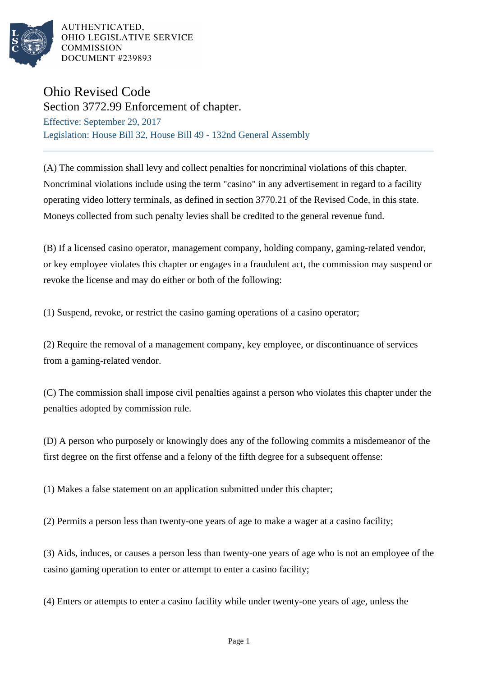

## Ohio Revised Code

Section 3772.99 Enforcement of chapter. Effective: September 29, 2017 Legislation: House Bill 32, House Bill 49 - 132nd General Assembly

(A) The commission shall levy and collect penalties for noncriminal violations of this chapter. Noncriminal violations include using the term "casino" in any advertisement in regard to a facility operating video lottery terminals, as defined in section 3770.21 of the Revised Code, in this state. Moneys collected from such penalty levies shall be credited to the general revenue fund.

(B) If a licensed casino operator, management company, holding company, gaming-related vendor, or key employee violates this chapter or engages in a fraudulent act, the commission may suspend or revoke the license and may do either or both of the following:

(1) Suspend, revoke, or restrict the casino gaming operations of a casino operator;

(2) Require the removal of a management company, key employee, or discontinuance of services from a gaming-related vendor.

(C) The commission shall impose civil penalties against a person who violates this chapter under the penalties adopted by commission rule.

(D) A person who purposely or knowingly does any of the following commits a misdemeanor of the first degree on the first offense and a felony of the fifth degree for a subsequent offense:

(1) Makes a false statement on an application submitted under this chapter;

(2) Permits a person less than twenty-one years of age to make a wager at a casino facility;

(3) Aids, induces, or causes a person less than twenty-one years of age who is not an employee of the casino gaming operation to enter or attempt to enter a casino facility;

(4) Enters or attempts to enter a casino facility while under twenty-one years of age, unless the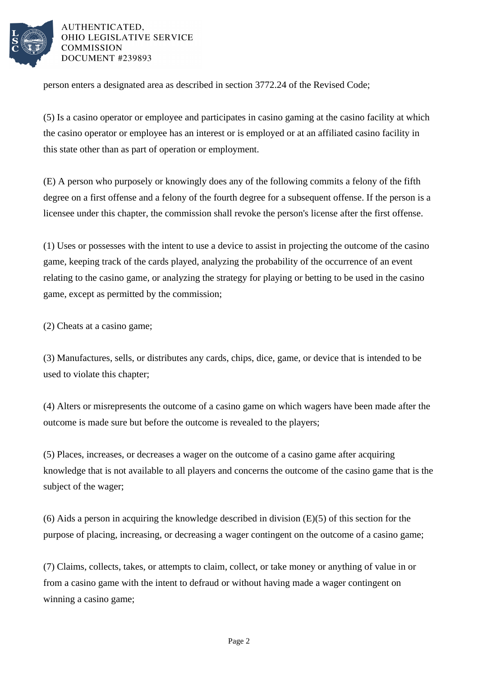

person enters a designated area as described in section 3772.24 of the Revised Code;

(5) Is a casino operator or employee and participates in casino gaming at the casino facility at which the casino operator or employee has an interest or is employed or at an affiliated casino facility in this state other than as part of operation or employment.

(E) A person who purposely or knowingly does any of the following commits a felony of the fifth degree on a first offense and a felony of the fourth degree for a subsequent offense. If the person is a licensee under this chapter, the commission shall revoke the person's license after the first offense.

(1) Uses or possesses with the intent to use a device to assist in projecting the outcome of the casino game, keeping track of the cards played, analyzing the probability of the occurrence of an event relating to the casino game, or analyzing the strategy for playing or betting to be used in the casino game, except as permitted by the commission;

(2) Cheats at a casino game;

(3) Manufactures, sells, or distributes any cards, chips, dice, game, or device that is intended to be used to violate this chapter;

(4) Alters or misrepresents the outcome of a casino game on which wagers have been made after the outcome is made sure but before the outcome is revealed to the players;

(5) Places, increases, or decreases a wager on the outcome of a casino game after acquiring knowledge that is not available to all players and concerns the outcome of the casino game that is the subject of the wager;

(6) Aids a person in acquiring the knowledge described in division (E)(5) of this section for the purpose of placing, increasing, or decreasing a wager contingent on the outcome of a casino game;

(7) Claims, collects, takes, or attempts to claim, collect, or take money or anything of value in or from a casino game with the intent to defraud or without having made a wager contingent on winning a casino game;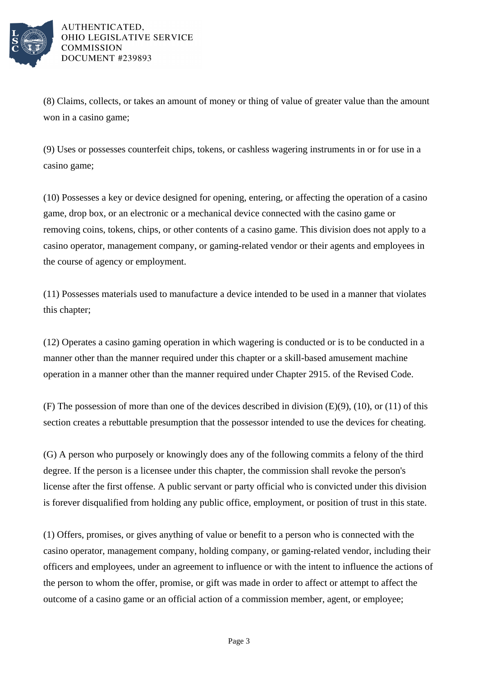

(8) Claims, collects, or takes an amount of money or thing of value of greater value than the amount won in a casino game;

(9) Uses or possesses counterfeit chips, tokens, or cashless wagering instruments in or for use in a casino game;

(10) Possesses a key or device designed for opening, entering, or affecting the operation of a casino game, drop box, or an electronic or a mechanical device connected with the casino game or removing coins, tokens, chips, or other contents of a casino game. This division does not apply to a casino operator, management company, or gaming-related vendor or their agents and employees in the course of agency or employment.

(11) Possesses materials used to manufacture a device intended to be used in a manner that violates this chapter;

(12) Operates a casino gaming operation in which wagering is conducted or is to be conducted in a manner other than the manner required under this chapter or a skill-based amusement machine operation in a manner other than the manner required under Chapter 2915. of the Revised Code.

(F) The possession of more than one of the devices described in division (E)(9), (10), or (11) of this section creates a rebuttable presumption that the possessor intended to use the devices for cheating.

(G) A person who purposely or knowingly does any of the following commits a felony of the third degree. If the person is a licensee under this chapter, the commission shall revoke the person's license after the first offense. A public servant or party official who is convicted under this division is forever disqualified from holding any public office, employment, or position of trust in this state.

(1) Offers, promises, or gives anything of value or benefit to a person who is connected with the casino operator, management company, holding company, or gaming-related vendor, including their officers and employees, under an agreement to influence or with the intent to influence the actions of the person to whom the offer, promise, or gift was made in order to affect or attempt to affect the outcome of a casino game or an official action of a commission member, agent, or employee;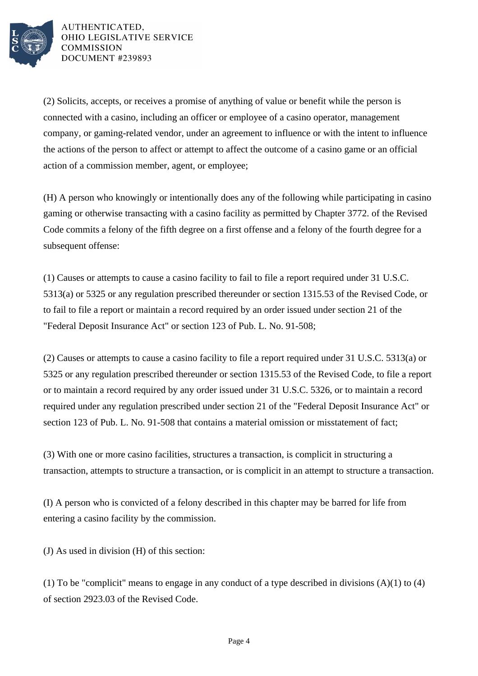

(2) Solicits, accepts, or receives a promise of anything of value or benefit while the person is connected with a casino, including an officer or employee of a casino operator, management company, or gaming-related vendor, under an agreement to influence or with the intent to influence the actions of the person to affect or attempt to affect the outcome of a casino game or an official action of a commission member, agent, or employee;

(H) A person who knowingly or intentionally does any of the following while participating in casino gaming or otherwise transacting with a casino facility as permitted by Chapter 3772. of the Revised Code commits a felony of the fifth degree on a first offense and a felony of the fourth degree for a subsequent offense:

(1) Causes or attempts to cause a casino facility to fail to file a report required under 31 U.S.C. 5313(a) or 5325 or any regulation prescribed thereunder or section 1315.53 of the Revised Code, or to fail to file a report or maintain a record required by an order issued under section 21 of the "Federal Deposit Insurance Act" or section 123 of Pub. L. No. 91-508;

(2) Causes or attempts to cause a casino facility to file a report required under 31 U.S.C. 5313(a) or 5325 or any regulation prescribed thereunder or section 1315.53 of the Revised Code, to file a report or to maintain a record required by any order issued under 31 U.S.C. 5326, or to maintain a record required under any regulation prescribed under section 21 of the "Federal Deposit Insurance Act" or section 123 of Pub. L. No. 91-508 that contains a material omission or misstatement of fact;

(3) With one or more casino facilities, structures a transaction, is complicit in structuring a transaction, attempts to structure a transaction, or is complicit in an attempt to structure a transaction.

(I) A person who is convicted of a felony described in this chapter may be barred for life from entering a casino facility by the commission.

(J) As used in division (H) of this section:

(1) To be "complicit" means to engage in any conduct of a type described in divisions (A)(1) to (4) of section 2923.03 of the Revised Code.